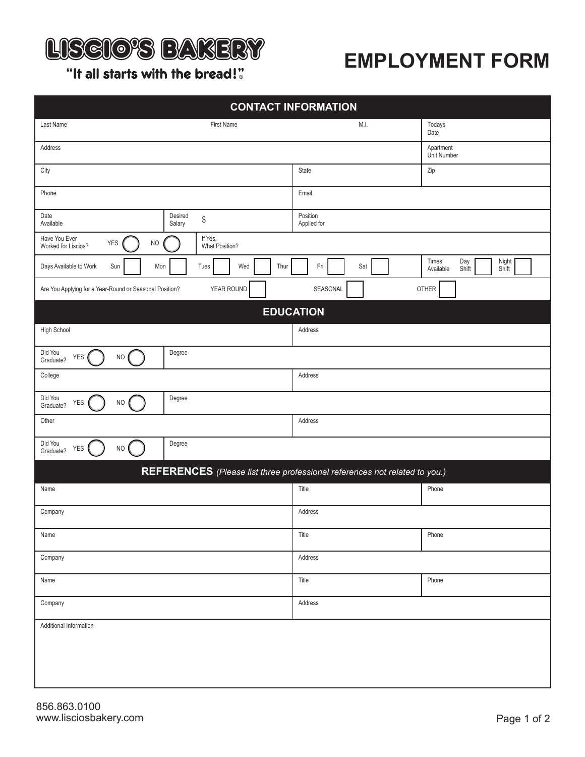

## **EMPLOYMENT FORM**

"It all starts with the bread!"

| <b>CONTACT INFORMATION</b>                                                       |                         |                                                      |  |  |  |  |
|----------------------------------------------------------------------------------|-------------------------|------------------------------------------------------|--|--|--|--|
| Last Name<br>First Name                                                          | M.I.                    | Todays<br>Date                                       |  |  |  |  |
| Address                                                                          |                         | Apartment<br>Unit Number                             |  |  |  |  |
| City                                                                             | State                   | Zip                                                  |  |  |  |  |
| Phone                                                                            | Email                   |                                                      |  |  |  |  |
| Desired<br>Date<br>$\,$<br>Available<br>Salary                                   | Position<br>Applied for |                                                      |  |  |  |  |
| Have You Ever<br>If Yes,<br>YES<br>$NO$<br>Worked for Liscios?<br>What Position? |                         |                                                      |  |  |  |  |
| Days Available to Work<br>Sun<br>Wed<br>Mon<br>Tues<br>Thur                      | Fri<br>Sat              | Times<br>Day<br>Night<br>Shift<br>Available<br>Shift |  |  |  |  |
| YEAR ROUND<br>Are You Applying for a Year-Round or Seasonal Position?            | SEASONAL                | OTHER                                                |  |  |  |  |
| <b>EDUCATION</b>                                                                 |                         |                                                      |  |  |  |  |
| High School                                                                      | Address                 |                                                      |  |  |  |  |
| Did You<br>Degree<br>YES<br>$NO$<br>Graduate?                                    |                         |                                                      |  |  |  |  |
| College                                                                          | Address                 |                                                      |  |  |  |  |
| Did You<br>Degree<br>YES<br><b>NO</b><br>Graduate?                               |                         |                                                      |  |  |  |  |
| Other                                                                            | Address                 |                                                      |  |  |  |  |
| Did You<br>Degree<br>YES<br>$NO$<br>Graduate?                                    |                         |                                                      |  |  |  |  |
| REFERENCES (Please list three professional references not related to you.)       |                         |                                                      |  |  |  |  |
| Name                                                                             | Title                   | Phone                                                |  |  |  |  |
| Company                                                                          | Address                 |                                                      |  |  |  |  |
| Name                                                                             | Title                   | Phone                                                |  |  |  |  |
| Company                                                                          | Address                 |                                                      |  |  |  |  |
| Name                                                                             | Title                   | Phone                                                |  |  |  |  |
| Company                                                                          | Address                 |                                                      |  |  |  |  |
| Additional Information                                                           |                         |                                                      |  |  |  |  |
|                                                                                  |                         |                                                      |  |  |  |  |
|                                                                                  |                         |                                                      |  |  |  |  |
|                                                                                  |                         |                                                      |  |  |  |  |